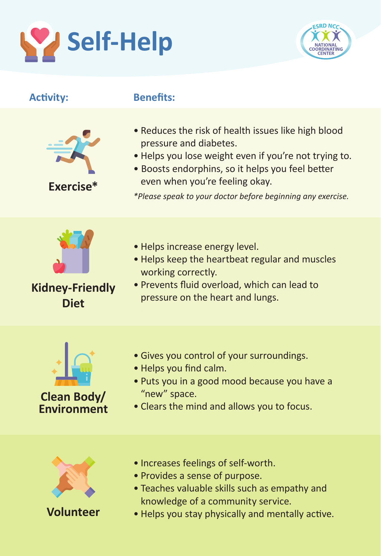



| <b>Activity:</b>                         | <b>Benefits:</b>                                                                                                                                                                                                                                                                            |
|------------------------------------------|---------------------------------------------------------------------------------------------------------------------------------------------------------------------------------------------------------------------------------------------------------------------------------------------|
| Exercise*                                | . Reduces the risk of health issues like high blood<br>pressure and diabetes.<br>. Helps you lose weight even if you're not trying to.<br>· Boosts endorphins, so it helps you feel better<br>even when you're feeling okay.<br>*Please speak to your doctor before beginning any exercise. |
| <b>Kidney-Friendly</b><br><b>Diet</b>    | • Helps increase energy level.<br>. Helps keep the heartbeat regular and muscles<br>working correctly.<br>. Prevents fluid overload, which can lead to<br>pressure on the heart and lungs.                                                                                                  |
| <b>Clean Body/</b><br><b>Environment</b> | • Gives you control of your surroundings.<br>. Helps you find calm.<br>. Puts you in a good mood because you have a<br>"new" space.<br>• Clears the mind and allows you to focus.                                                                                                           |
|                                          | · Increases feelings of self-worth.<br>• Provides a sense of purpose.<br>• Teaches valuable skills such as empathy and<br>knowledge of a community service.                                                                                                                                 |

**Volunteer**

• Helps you stay physically and mentally active.